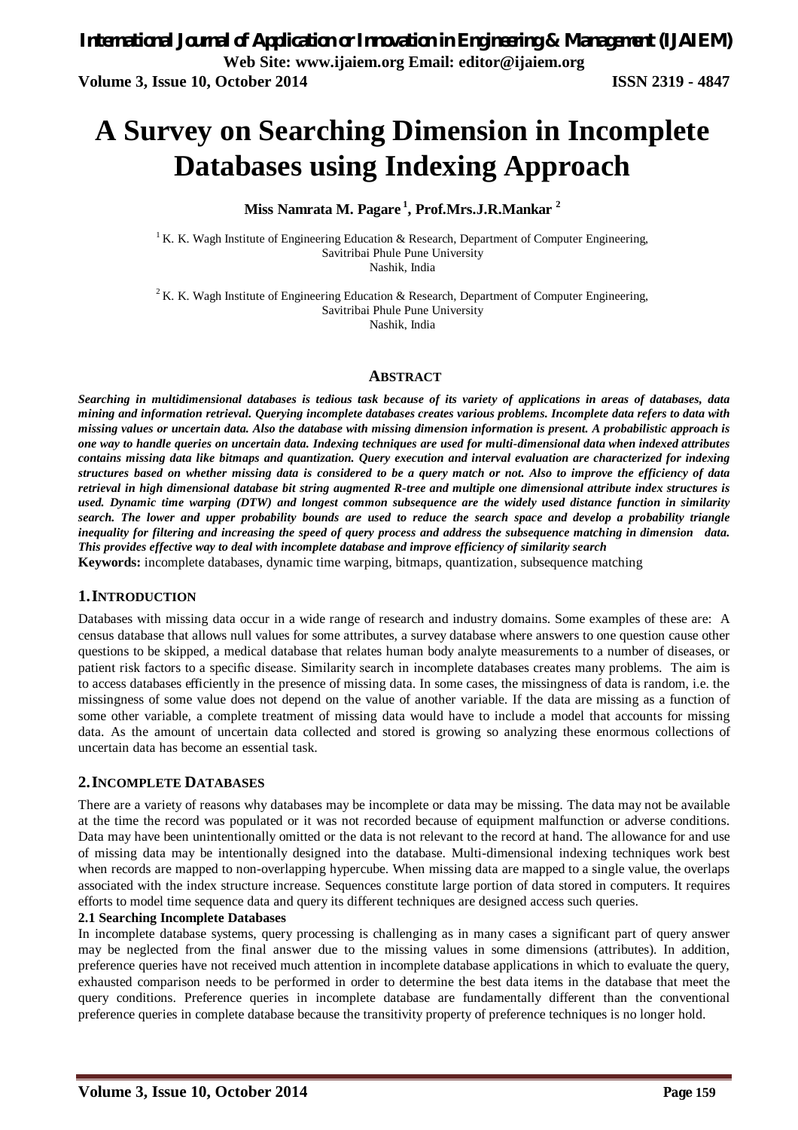# **A Survey on Searching Dimension in Incomplete Databases using Indexing Approach**

**Miss Namrata M. Pagare <sup>1</sup> , Prof.Mrs.J.R.Mankar <sup>2</sup>**

<sup>1</sup> K. K. Wagh Institute of Engineering Education & Research, Department of Computer Engineering, Savitribai Phule Pune University Nashik, India

<sup>2</sup> K. K. Wagh Institute of Engineering Education & Research, Department of Computer Engineering, Savitribai Phule Pune University

Nashik, India

#### **ABSTRACT**

*Searching in multidimensional databases is tedious task because of its variety of applications in areas of databases, data mining and information retrieval. Querying incomplete databases creates various problems. Incomplete data refers to data with missing values or uncertain data. Also the database with missing dimension information is present. A probabilistic approach is one way to handle queries on uncertain data. Indexing techniques are used for multi-dimensional data when indexed attributes contains missing data like bitmaps and quantization. Query execution and interval evaluation are characterized for indexing structures based on whether missing data is considered to be a query match or not. Also to improve the efficiency of data retrieval in high dimensional database bit string augmented R-tree and multiple one dimensional attribute index structures is used. Dynamic time warping (DTW) and longest common subsequence are the widely used distance function in similarity search. The lower and upper probability bounds are used to reduce the search space and develop a probability triangle inequality for filtering and increasing the speed of query process and address the subsequence matching in dimension data. This provides effective way to deal with incomplete database and improve efficiency of similarity search* **Keywords:** incomplete databases, dynamic time warping, bitmaps, quantization, subsequence matching

#### **1.INTRODUCTION**

Databases with missing data occur in a wide range of research and industry domains. Some examples of these are: A census database that allows null values for some attributes, a survey database where answers to one question cause other questions to be skipped, a medical database that relates human body analyte measurements to a number of diseases, or patient risk factors to a specific disease. Similarity search in incomplete databases creates many problems. The aim is to access databases efficiently in the presence of missing data. In some cases, the missingness of data is random, i.e. the missingness of some value does not depend on the value of another variable. If the data are missing as a function of some other variable, a complete treatment of missing data would have to include a model that accounts for missing data. As the amount of uncertain data collected and stored is growing so analyzing these enormous collections of uncertain data has become an essential task.

#### **2.INCOMPLETE DATABASES**

There are a variety of reasons why databases may be incomplete or data may be missing. The data may not be available at the time the record was populated or it was not recorded because of equipment malfunction or adverse conditions. Data may have been unintentionally omitted or the data is not relevant to the record at hand. The allowance for and use of missing data may be intentionally designed into the database. Multi-dimensional indexing techniques work best when records are mapped to non-overlapping hypercube. When missing data are mapped to a single value, the overlaps associated with the index structure increase. Sequences constitute large portion of data stored in computers. It requires efforts to model time sequence data and query its different techniques are designed access such queries.

#### **2.1 Searching Incomplete Databases**

In incomplete database systems, query processing is challenging as in many cases a significant part of query answer may be neglected from the final answer due to the missing values in some dimensions (attributes). In addition, preference queries have not received much attention in incomplete database applications in which to evaluate the query, exhausted comparison needs to be performed in order to determine the best data items in the database that meet the query conditions. Preference queries in incomplete database are fundamentally different than the conventional preference queries in complete database because the transitivity property of preference techniques is no longer hold.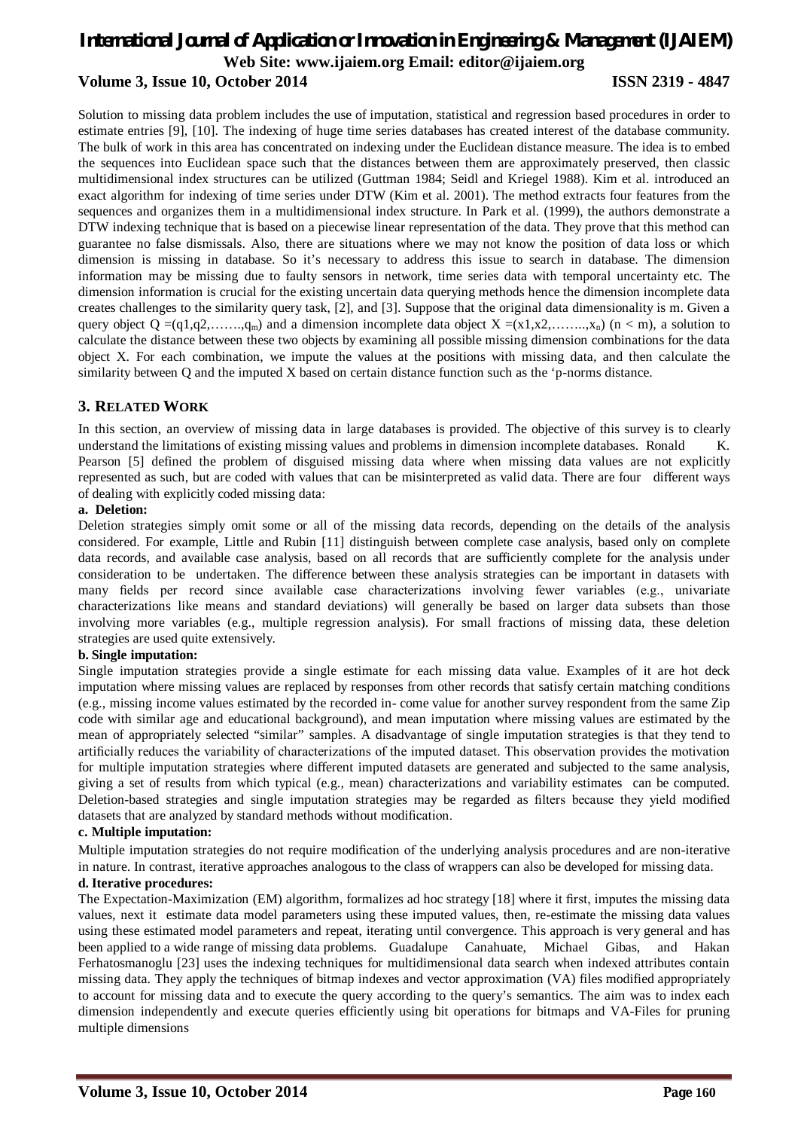# *International Journal of Application or Innovation in Engineering & Management (IJAIEM)* **Web Site: www.ijaiem.org Email: editor@ijaiem.org Volume 3, Issue 10, October 2014 ISSN 2319 - 4847**

Solution to missing data problem includes the use of imputation, statistical and regression based procedures in order to estimate entries [9], [10]. The indexing of huge time series databases has created interest of the database community. The bulk of work in this area has concentrated on indexing under the Euclidean distance measure. The idea is to embed the sequences into Euclidean space such that the distances between them are approximately preserved, then classic multidimensional index structures can be utilized (Guttman 1984; Seidl and Kriegel 1988). Kim et al. introduced an exact algorithm for indexing of time series under DTW (Kim et al. 2001). The method extracts four features from the sequences and organizes them in a multidimensional index structure. In Park et al. (1999), the authors demonstrate a DTW indexing technique that is based on a piecewise linear representation of the data. They prove that this method can guarantee no false dismissals. Also, there are situations where we may not know the position of data loss or which dimension is missing in database. So it's necessary to address this issue to search in database. The dimension information may be missing due to faulty sensors in network, time series data with temporal uncertainty etc. The dimension information is crucial for the existing uncertain data querying methods hence the dimension incomplete data creates challenges to the similarity query task, [2], and [3]. Suppose that the original data dimensionality is m. Given a query object Q =(q1,q2,……,q<sub>m</sub>) and a dimension incomplete data object X =(x1,x2,……,x<sub>n</sub>) (n < m), a solution to calculate the distance between these two objects by examining all possible missing dimension combinations for the data object X. For each combination, we impute the values at the positions with missing data, and then calculate the similarity between Q and the imputed X based on certain distance function such as the 'p-norms distance.

#### **3. RELATED WORK**

In this section, an overview of missing data in large databases is provided. The objective of this survey is to clearly understand the limitations of existing missing values and problems in dimension incomplete databases. Ronald K. Pearson [5] defined the problem of disguised missing data where when missing data values are not explicitly represented as such, but are coded with values that can be misinterpreted as valid data. There are four different ways of dealing with explicitly coded missing data:

#### **a. Deletion:**

Deletion strategies simply omit some or all of the missing data records, depending on the details of the analysis considered. For example, Little and Rubin [11] distinguish between complete case analysis, based only on complete data records, and available case analysis, based on all records that are sufficiently complete for the analysis under consideration to be undertaken. The difference between these analysis strategies can be important in datasets with many fields per record since available case characterizations involving fewer variables (e.g., univariate characterizations like means and standard deviations) will generally be based on larger data subsets than those involving more variables (e.g., multiple regression analysis). For small fractions of missing data, these deletion strategies are used quite extensively.

#### **b. Single imputation:**

Single imputation strategies provide a single estimate for each missing data value. Examples of it are hot deck imputation where missing values are replaced by responses from other records that satisfy certain matching conditions (e.g., missing income values estimated by the recorded in- come value for another survey respondent from the same Zip code with similar age and educational background), and mean imputation where missing values are estimated by the mean of appropriately selected "similar" samples. A disadvantage of single imputation strategies is that they tend to artificially reduces the variability of characterizations of the imputed dataset. This observation provides the motivation for multiple imputation strategies where different imputed datasets are generated and subjected to the same analysis, giving a set of results from which typical (e.g., mean) characterizations and variability estimates can be computed. Deletion-based strategies and single imputation strategies may be regarded as filters because they yield modified datasets that are analyzed by standard methods without modification.

#### **c. Multiple imputation:**

Multiple imputation strategies do not require modification of the underlying analysis procedures and are non-iterative in nature. In contrast, iterative approaches analogous to the class of wrappers can also be developed for missing data.

#### **d. Iterative procedures:**

The Expectation-Maximization (EM) algorithm, formalizes ad hoc strategy [18] where it first, imputes the missing data values, next it estimate data model parameters using these imputed values, then, re-estimate the missing data values using these estimated model parameters and repeat, iterating until convergence. This approach is very general and has been applied to a wide range of missing data problems. Guadalupe Canahuate, Michael Gibas, and Hakan Ferhatosmanoglu [23] uses the indexing techniques for multidimensional data search when indexed attributes contain missing data. They apply the techniques of bitmap indexes and vector approximation (VA) files modified appropriately to account for missing data and to execute the query according to the query's semantics. The aim was to index each dimension independently and execute queries efficiently using bit operations for bitmaps and VA-Files for pruning multiple dimensions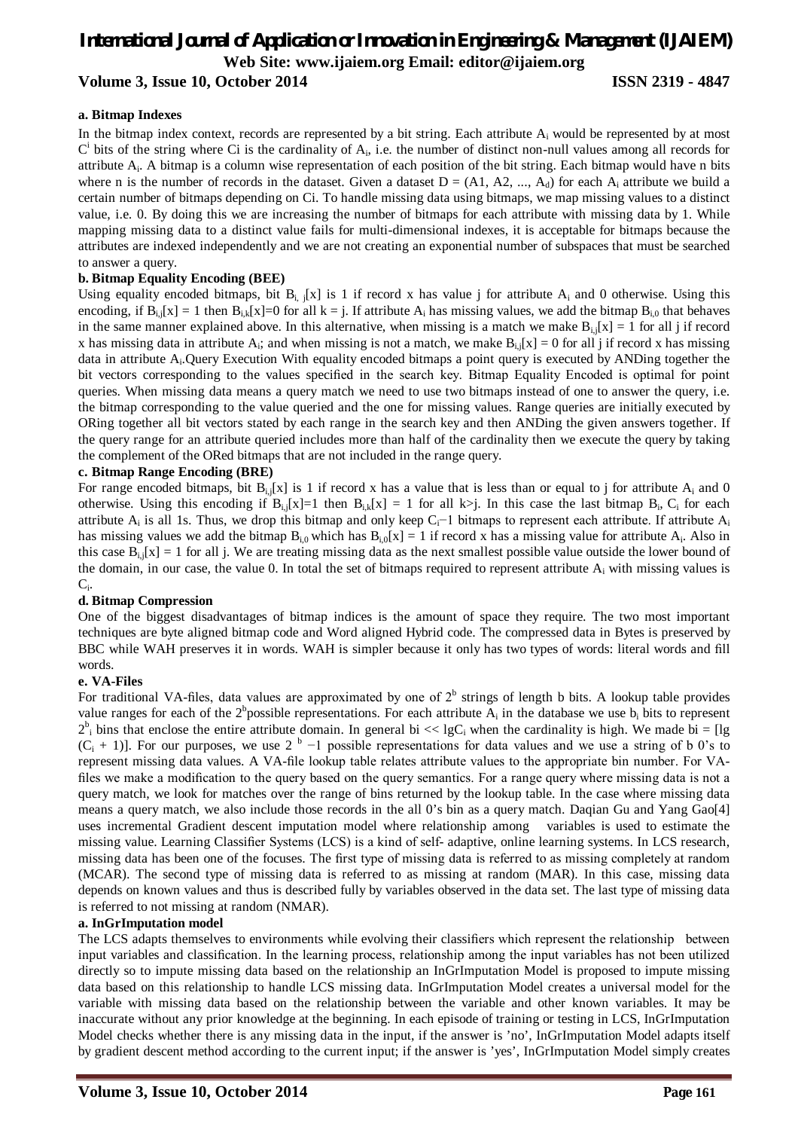# *International Journal of Application or Innovation in Engineering & Management (IJAIEM)* **Web Site: www.ijaiem.org Email: editor@ijaiem.org Volume 3, Issue 10, October 2014 ISSN 2319 - 4847**

#### **a. Bitmap Indexes**

In the bitmap index context, records are represented by a bit string. Each attribute  $A_i$  would be represented by at most  $C<sup>i</sup>$  bits of the string where Ci is the cardinality of  $A<sub>i</sub>$ , i.e. the number of distinct non-null values among all records for attribute A<sub>i</sub>. A bitmap is a column wise representation of each position of the bit string. Each bitmap would have n bits where n is the number of records in the dataset. Given a dataset  $D = (A1, A2, ..., A_d)$  for each  $A_i$  attribute we build a certain number of bitmaps depending on Ci. To handle missing data using bitmaps, we map missing values to a distinct value, i.e. 0. By doing this we are increasing the number of bitmaps for each attribute with missing data by 1. While mapping missing data to a distinct value fails for multi-dimensional indexes, it is acceptable for bitmaps because the attributes are indexed independently and we are not creating an exponential number of subspaces that must be searched to answer a query.

#### **b. Bitmap Equality Encoding (BEE)**

Using equality encoded bitmaps, bit  $B_{i,j}[x]$  is 1 if record x has value j for attribute  $A_i$  and 0 otherwise. Using this encoding, if  $B_{i,j}[x] = 1$  then  $B_{i,k}[x] = 0$  for all  $k = j$ . If attribute  $A_i$  has missing values, we add the bitmap  $B_{i,0}$  that behaves in the same manner explained above. In this alternative, when missing is a match we make  $B_{i,j}[x] = 1$  for all j if record x has missing data in attribute  $A_i$ ; and when missing is not a match, we make  $B_{i,j}[x] = 0$  for all j if record x has missing data in attribute A<sub>i</sub>. Query Execution With equality encoded bitmaps a point query is executed by ANDing together the bit vectors corresponding to the values specified in the search key. Bitmap Equality Encoded is optimal for point queries. When missing data means a query match we need to use two bitmaps instead of one to answer the query, i.e. the bitmap corresponding to the value queried and the one for missing values. Range queries are initially executed by ORing together all bit vectors stated by each range in the search key and then ANDing the given answers together. If the query range for an attribute queried includes more than half of the cardinality then we execute the query by taking the complement of the ORed bitmaps that are not included in the range query.

#### **c. Bitmap Range Encoding (BRE)**

For range encoded bitmaps, bit  $B_{i,j}[x]$  is 1 if record x has a value that is less than or equal to j for attribute  $A_i$  and 0 otherwise. Using this encoding if  $B_{i,j}[x]=1$  then  $B_{i,k}[x]=1$  for all  $k$ ). In this case the last bitmap  $B_i$ ,  $C_i$  for each attribute  $A_i$  is all 1s. Thus, we drop this bitmap and only keep C<sub>i</sub>−1 bitmaps to represent each attribute. If attribute  $A_i$ has missing values we add the bitmap  $B_{i,0}$  which has  $B_{i,0}[x] = 1$  if record x has a missing value for attribute  $A_i$ . Also in this case  $B_{i,j}[x] = 1$  for all j. We are treating missing data as the next smallest possible value outside the lower bound of the domain, in our case, the value 0. In total the set of bitmaps required to represent attribute  $A_i$  with missing values is  $C_i$ .

#### **d. Bitmap Compression**

One of the biggest disadvantages of bitmap indices is the amount of space they require. The two most important techniques are byte aligned bitmap code and Word aligned Hybrid code. The compressed data in Bytes is preserved by BBC while WAH preserves it in words. WAH is simpler because it only has two types of words: literal words and fill words.

#### **e. VA-Files**

For traditional VA-files, data values are approximated by one of  $2^b$  strings of length b bits. A lookup table provides value ranges for each of the  $2^b$ possible representations. For each attribute  $A_i$  in the database we use  $b_i$  bits to represent  $2^b$ <sub>i</sub> bins that enclose the entire attribute domain. In general bi << lgC<sub>i</sub> when the cardinality is high. We made bi = [lg  $(C_i + 1)$ . For our purposes, we use 2<sup>b</sup> -1 possible representations for data values and we use a string of b 0's to represent missing data values. A VA-file lookup table relates attribute values to the appropriate bin number. For VAfiles we make a modification to the query based on the query semantics. For a range query where missing data is not a query match, we look for matches over the range of bins returned by the lookup table. In the case where missing data means a query match, we also include those records in the all 0's bin as a query match. Daqian Gu and Yang Gao[4] uses incremental Gradient descent imputation model where relationship among variables is used to estimate the missing value. Learning Classifier Systems (LCS) is a kind of self- adaptive, online learning systems. In LCS research, missing data has been one of the focuses. The first type of missing data is referred to as missing completely at random (MCAR). The second type of missing data is referred to as missing at random (MAR). In this case, missing data depends on known values and thus is described fully by variables observed in the data set. The last type of missing data is referred to not missing at random (NMAR).

#### **a. InGrImputation model**

The LCS adapts themselves to environments while evolving their classifiers which represent the relationship between input variables and classification. In the learning process, relationship among the input variables has not been utilized directly so to impute missing data based on the relationship an InGrImputation Model is proposed to impute missing data based on this relationship to handle LCS missing data. InGrImputation Model creates a universal model for the variable with missing data based on the relationship between the variable and other known variables. It may be inaccurate without any prior knowledge at the beginning. In each episode of training or testing in LCS, InGrImputation Model checks whether there is any missing data in the input, if the answer is 'no', InGrImputation Model adapts itself by gradient descent method according to the current input; if the answer is 'yes', InGrImputation Model simply creates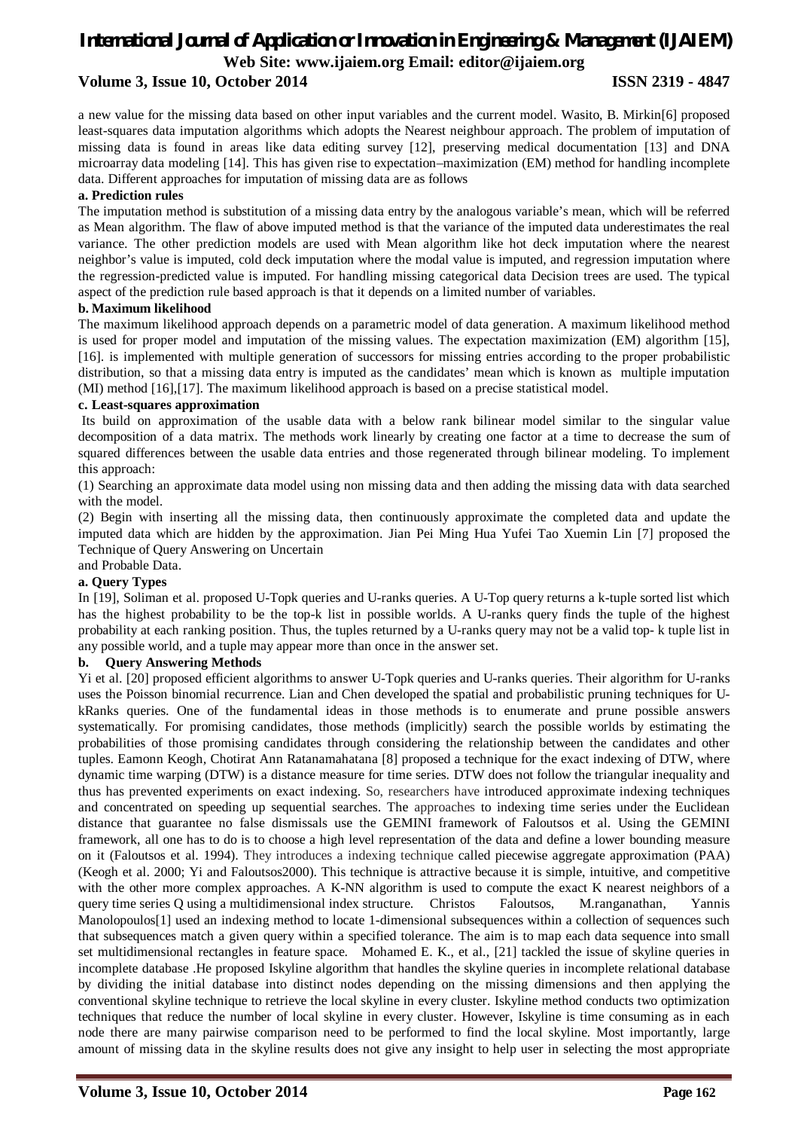# *International Journal of Application or Innovation in Engineering & Management (IJAIEM)* **Web Site: www.ijaiem.org Email: editor@ijaiem.org**

### **Volume 3, Issue 10, October 2014 ISSN 2319 - 4847**

a new value for the missing data based on other input variables and the current model. Wasito, B. Mirkin[6] proposed least-squares data imputation algorithms which adopts the Nearest neighbour approach. The problem of imputation of missing data is found in areas like data editing survey [12], preserving medical documentation [13] and DNA microarray data modeling [14]. This has given rise to expectation–maximization (EM) method for handling incomplete data. Different approaches for imputation of missing data are as follows

#### **a. Prediction rules**

The imputation method is substitution of a missing data entry by the analogous variable's mean, which will be referred as Mean algorithm. The flaw of above imputed method is that the variance of the imputed data underestimates the real variance. The other prediction models are used with Mean algorithm like hot deck imputation where the nearest neighbor's value is imputed, cold deck imputation where the modal value is imputed, and regression imputation where the regression-predicted value is imputed. For handling missing categorical data Decision trees are used. The typical aspect of the prediction rule based approach is that it depends on a limited number of variables.

#### **b. Maximum likelihood**

The maximum likelihood approach depends on a parametric model of data generation. A maximum likelihood method is used for proper model and imputation of the missing values. The expectation maximization (EM) algorithm [15], [16]. is implemented with multiple generation of successors for missing entries according to the proper probabilistic distribution, so that a missing data entry is imputed as the candidates' mean which is known as multiple imputation (MI) method [16],[17]. The maximum likelihood approach is based on a precise statistical model.

#### **c. Least-squares approximation**

Its build on approximation of the usable data with a below rank bilinear model similar to the singular value decomposition of a data matrix. The methods work linearly by creating one factor at a time to decrease the sum of squared differences between the usable data entries and those regenerated through bilinear modeling. To implement this approach:

(1) Searching an approximate data model using non missing data and then adding the missing data with data searched with the model.

(2) Begin with inserting all the missing data, then continuously approximate the completed data and update the imputed data which are hidden by the approximation. Jian Pei Ming Hua Yufei Tao Xuemin Lin [7] proposed the Technique of Query Answering on Uncertain

# and Probable Data.

### **a. Query Types**

In [19], Soliman et al. proposed U-Topk queries and U-ranks queries. A U-Top query returns a k-tuple sorted list which has the highest probability to be the top-k list in possible worlds. A U-ranks query finds the tuple of the highest probability at each ranking position. Thus, the tuples returned by a U-ranks query may not be a valid top- k tuple list in any possible world, and a tuple may appear more than once in the answer set.

#### **b. Query Answering Methods**

Yi et al. [20] proposed efficient algorithms to answer U-Topk queries and U-ranks queries. Their algorithm for U-ranks uses the Poisson binomial recurrence. Lian and Chen developed the spatial and probabilistic pruning techniques for UkRanks queries. One of the fundamental ideas in those methods is to enumerate and prune possible answers systematically. For promising candidates, those methods (implicitly) search the possible worlds by estimating the probabilities of those promising candidates through considering the relationship between the candidates and other tuples. Eamonn Keogh*,* Chotirat Ann Ratanamahatana [8] proposed a technique for the exact indexing of DTW, where dynamic time warping (DTW) is a distance measure for time series. DTW does not follow the triangular inequality and thus has prevented experiments on exact indexing. So, researchers have introduced approximate indexing techniques and concentrated on speeding up sequential searches. The approaches to indexing time series under the Euclidean distance that guarantee no false dismissals use the GEMINI framework of Faloutsos et al. Using the GEMINI framework, all one has to do is to choose a high level representation of the data and define a lower bounding measure on it (Faloutsos et al. 1994). They introduces a indexing technique called piecewise aggregate approximation (PAA) (Keogh et al. 2000; Yi and Faloutsos2000). This technique is attractive because it is simple, intuitive, and competitive with the other more complex approaches. A K-NN algorithm is used to compute the exact K nearest neighbors of a query time series Q using a multidimensional index structure. Christos Faloutsos, M.ranganathan, Yannis Manolopoulos<sup>[1]</sup> used an indexing method to locate 1-dimensional subsequences within a collection of sequences such that subsequences match a given query within a specified tolerance. The aim is to map each data sequence into small set multidimensional rectangles in feature space. Mohamed E. K., et al., [21] tackled the issue of skyline queries in incomplete database .He proposed Iskyline algorithm that handles the skyline queries in incomplete relational database by dividing the initial database into distinct nodes depending on the missing dimensions and then applying the conventional skyline technique to retrieve the local skyline in every cluster. Iskyline method conducts two optimization techniques that reduce the number of local skyline in every cluster. However, Iskyline is time consuming as in each node there are many pairwise comparison need to be performed to find the local skyline. Most importantly, large amount of missing data in the skyline results does not give any insight to help user in selecting the most appropriate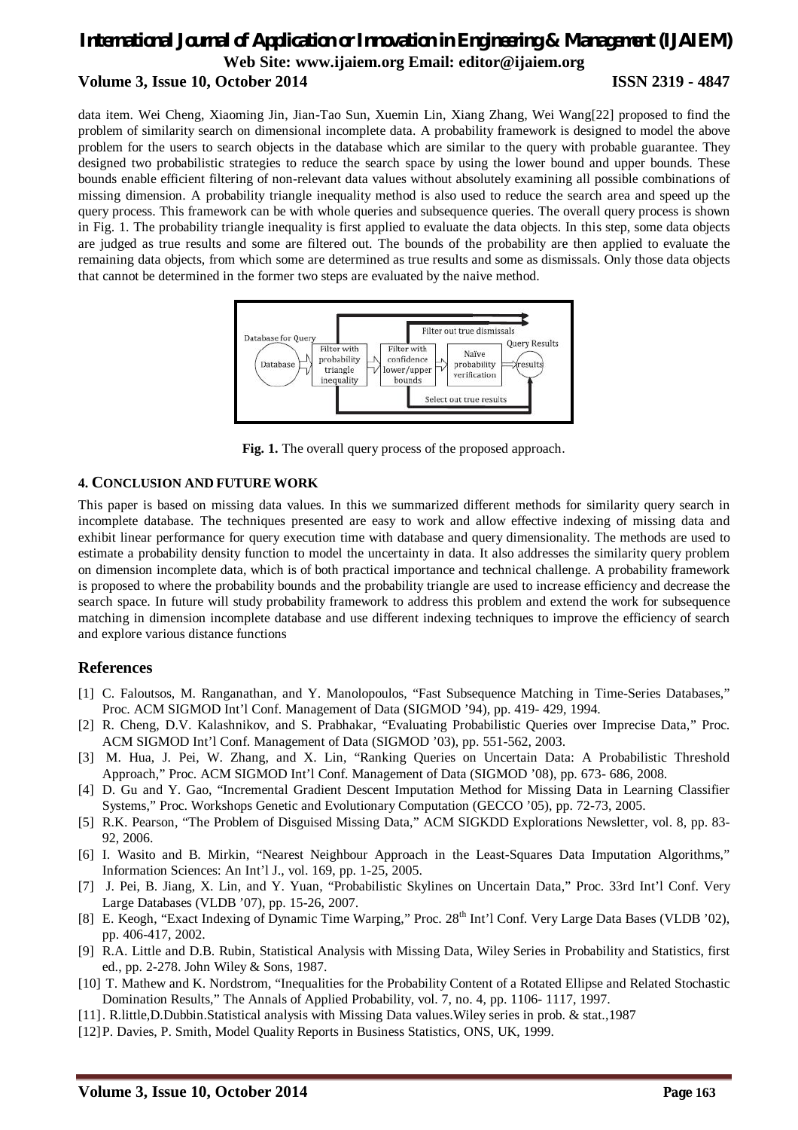# *International Journal of Application or Innovation in Engineering & Management (IJAIEM)* **Web Site: www.ijaiem.org Email: editor@ijaiem.org Volume 3, Issue 10, October 2014 ISSN 2319 - 4847**

data item. Wei Cheng, Xiaoming Jin, Jian-Tao Sun, Xuemin Lin, Xiang Zhang, Wei Wang[22] proposed to find the problem of similarity search on dimensional incomplete data. A probability framework is designed to model the above problem for the users to search objects in the database which are similar to the query with probable guarantee. They designed two probabilistic strategies to reduce the search space by using the lower bound and upper bounds. These bounds enable efficient filtering of non-relevant data values without absolutely examining all possible combinations of missing dimension. A probability triangle inequality method is also used to reduce the search area and speed up the query process. This framework can be with whole queries and subsequence queries. The overall query process is shown in Fig. 1. The probability triangle inequality is first applied to evaluate the data objects. In this step, some data objects are judged as true results and some are filtered out. The bounds of the probability are then applied to evaluate the remaining data objects, from which some are determined as true results and some as dismissals. Only those data objects that cannot be determined in the former two steps are evaluated by the naive method.



**Fig. 1.** The overall query process of the proposed approach.

#### **4. CONCLUSION AND FUTURE WORK**

This paper is based on missing data values. In this we summarized different methods for similarity query search in incomplete database. The techniques presented are easy to work and allow effective indexing of missing data and exhibit linear performance for query execution time with database and query dimensionality. The methods are used to estimate a probability density function to model the uncertainty in data. It also addresses the similarity query problem on dimension incomplete data, which is of both practical importance and technical challenge. A probability framework is proposed to where the probability bounds and the probability triangle are used to increase efficiency and decrease the search space. In future will study probability framework to address this problem and extend the work for subsequence matching in dimension incomplete database and use different indexing techniques to improve the efficiency of search and explore various distance functions

#### **References**

- [1] C. Faloutsos, M. Ranganathan, and Y. Manolopoulos, "Fast Subsequence Matching in Time-Series Databases," Proc. ACM SIGMOD Int'l Conf. Management of Data (SIGMOD '94), pp. 419- 429, 1994.
- [2] R. Cheng, D.V. Kalashnikov, and S. Prabhakar, "Evaluating Probabilistic Queries over Imprecise Data," Proc. ACM SIGMOD Int'l Conf. Management of Data (SIGMOD '03), pp. 551-562, 2003.
- [3] M. Hua, J. Pei, W. Zhang, and X. Lin, "Ranking Queries on Uncertain Data: A Probabilistic Threshold Approach," Proc. ACM SIGMOD Int'l Conf. Management of Data (SIGMOD '08), pp. 673- 686, 2008.
- [4] D. Gu and Y. Gao, "Incremental Gradient Descent Imputation Method for Missing Data in Learning Classifier Systems," Proc. Workshops Genetic and Evolutionary Computation (GECCO '05), pp. 72-73, 2005.
- [5] R.K. Pearson, "The Problem of Disguised Missing Data," ACM SIGKDD Explorations Newsletter, vol. 8, pp. 83- 92, 2006.
- [6] I. Wasito and B. Mirkin, "Nearest Neighbour Approach in the Least-Squares Data Imputation Algorithms," Information Sciences: An Int'l J., vol. 169, pp. 1-25, 2005.
- [7] J. Pei, B. Jiang, X. Lin, and Y. Yuan, "Probabilistic Skylines on Uncertain Data," Proc. 33rd Int'l Conf. Very Large Databases (VLDB '07), pp. 15-26, 2007.
- [8] E. Keogh, "Exact Indexing of Dynamic Time Warping," Proc. 28<sup>th</sup> Int'l Conf. Very Large Data Bases (VLDB '02), pp. 406-417, 2002.
- [9] R.A. Little and D.B. Rubin, Statistical Analysis with Missing Data, Wiley Series in Probability and Statistics, first ed., pp. 2-278. John Wiley & Sons, 1987.
- [10] T. Mathew and K. Nordstrom, "Inequalities for the Probability Content of a Rotated Ellipse and Related Stochastic Domination Results," The Annals of Applied Probability, vol. 7, no. 4, pp. 1106- 1117, 1997.
- [11]. R.little,D.Dubbin.Statistical analysis with Missing Data values.Wiley series in prob. & stat.,1987
- [12]P. Davies, P. Smith, Model Quality Reports in Business Statistics, ONS, UK, 1999.